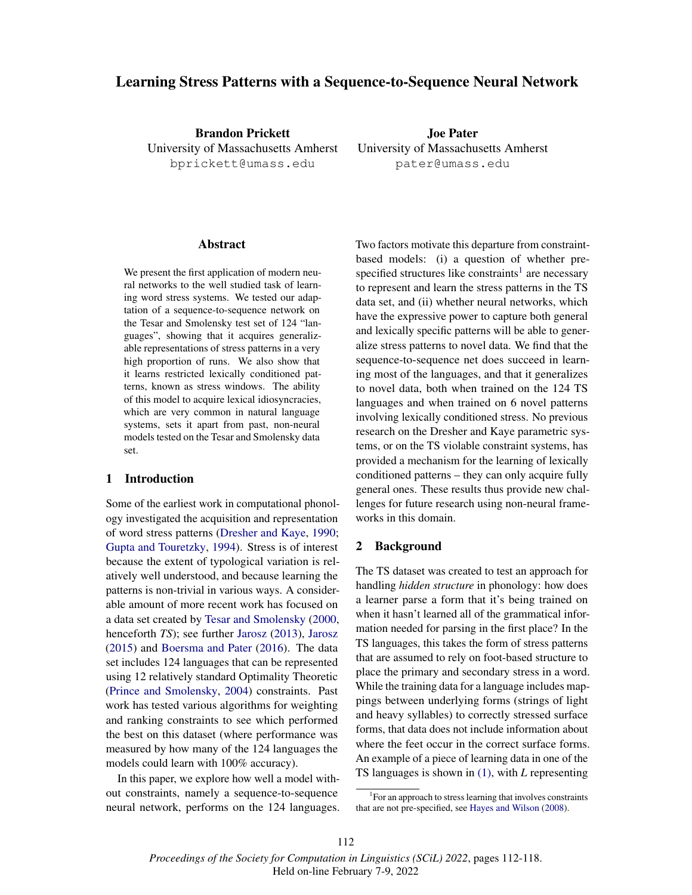# Learning Stress Patterns with a Sequence-to-Sequence Neural Network

Brandon Prickett University of Massachusetts Amherst bprickett@umass.edu

Joe Pater University of Massachusetts Amherst pater@umass.edu

#### Abstract

We present the first application of modern neural networks to the well studied task of learning word stress systems. We tested our adaptation of a sequence-to-sequence network on the Tesar and Smolensky test set of 124 "languages", showing that it acquires generalizable representations of stress patterns in a very high proportion of runs. We also show that it learns restricted lexically conditioned patterns, known as stress windows. The ability of this model to acquire lexical idiosyncracies, which are very common in natural language systems, sets it apart from past, non-neural models tested on the Tesar and Smolensky data set.

# 1 Introduction

Some of the earliest work in computational phonology investigated the acquisition and representation of word stress patterns (Dresher and Kaye, 1990; Gupta and Touretzky, 1994). Stress is of interest because the extent of typological variation is relatively well understood, and because learning the patterns is non-trivial in various ways. A considerable amount of more recent work has focused on a data set created by Tesar and Smolensky (2000, henceforth *TS*); see further Jarosz (2013), Jarosz (2015) and Boersma and Pater (2016). The data set includes 124 languages that can be represented using 12 relatively standard Optimality Theoretic (Prince and Smolensky, 2004) constraints. Past work has tested various algorithms for weighting and ranking constraints to see which performed the best on this dataset (where performance was measured by how many of the 124 languages the models could learn with 100% accuracy).

In this paper, we explore how well a model without constraints, namely a sequence-to-sequence neural network, performs on the 124 languages. Two factors motivate this departure from constraintbased models: (i) a question of whether prespecified structures like constraints<sup>1</sup> are necessary to represent and learn the stress patterns in the TS data set, and (ii) whether neural networks, which have the expressive power to capture both general and lexically specific patterns will be able to generalize stress patterns to novel data. We find that the sequence-to-sequence net does succeed in learning most of the languages, and that it generalizes to novel data, both when trained on the 124 TS languages and when trained on 6 novel patterns involving lexically conditioned stress. No previous research on the Dresher and Kaye parametric systems, or on the TS violable constraint systems, has provided a mechanism for the learning of lexically conditioned patterns – they can only acquire fully general ones. These results thus provide new challenges for future research using non-neural frameworks in this domain.

#### 2 Background

The TS dataset was created to test an approach for handling *hidden structure* in phonology: how does a learner parse a form that it's being trained on when it hasn't learned all of the grammatical information needed for parsing in the first place? In the TS languages, this takes the form of stress patterns that are assumed to rely on foot-based structure to place the primary and secondary stress in a word. While the training data for a language includes mappings between underlying forms (strings of light and heavy syllables) to correctly stressed surface forms, that data does not include information about where the feet occur in the correct surface forms. An example of a piece of learning data in one of the TS languages is shown in (1), with *L* representing

 $1$ For an approach to stress learning that involves constraints that are not pre-specified, see Hayes and Wilson (2008).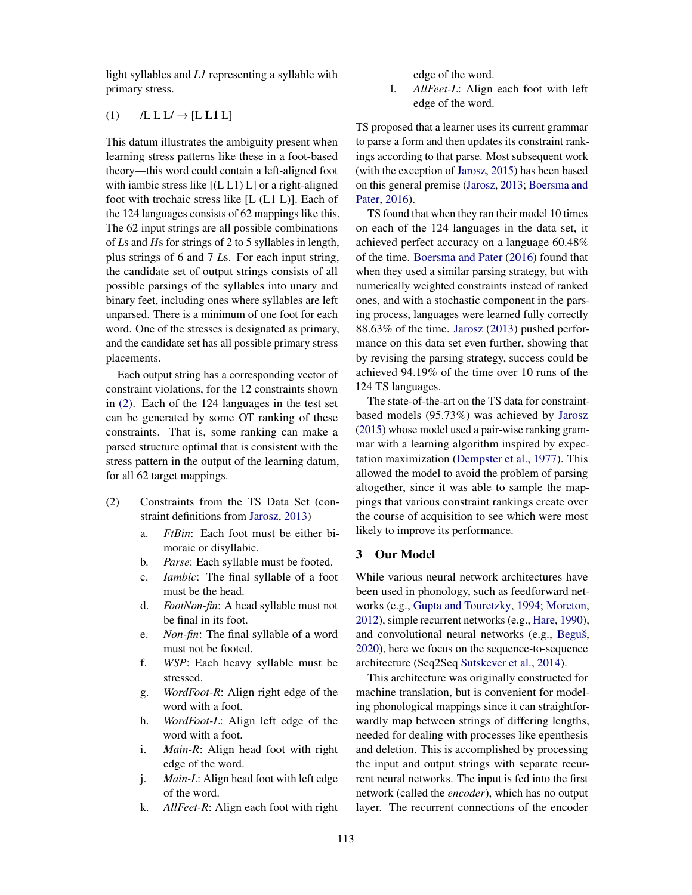light syllables and *L1* representing a syllable with primary stress.

#### (1)  $/L L L \rightarrow [L L 1 L]$

This datum illustrates the ambiguity present when learning stress patterns like these in a foot-based theory—this word could contain a left-aligned foot with iambic stress like [(L L1) L] or a right-aligned foot with trochaic stress like [L (L1 L)]. Each of the 124 languages consists of 62 mappings like this. The 62 input strings are all possible combinations of *L*s and *H*s for strings of 2 to 5 syllables in length, plus strings of 6 and 7 *L*s. For each input string, the candidate set of output strings consists of all possible parsings of the syllables into unary and binary feet, including ones where syllables are left unparsed. There is a minimum of one foot for each word. One of the stresses is designated as primary, and the candidate set has all possible primary stress placements.

Each output string has a corresponding vector of constraint violations, for the 12 constraints shown in (2). Each of the 124 languages in the test set can be generated by some OT ranking of these constraints. That is, some ranking can make a parsed structure optimal that is consistent with the stress pattern in the output of the learning datum, for all 62 target mappings.

- (2) Constraints from the TS Data Set (constraint definitions from Jarosz, 2013)
	- a. *FtBin*: Each foot must be either bimoraic or disyllabic.
	- b. *Parse*: Each syllable must be footed.
	- c. *Iambic*: The final syllable of a foot must be the head.
	- d. *FootNon-fin*: A head syllable must not be final in its foot.
	- e. *Non-fin*: The final syllable of a word must not be footed.
	- f. *WSP*: Each heavy syllable must be stressed.
	- g. *WordFoot-R*: Align right edge of the word with a foot.
	- h. *WordFoot-L*: Align left edge of the word with a foot.
	- i. *Main-R*: Align head foot with right edge of the word.
	- j. *Main-L*: Align head foot with left edge of the word.
	- k. *AllFeet-R*: Align each foot with right

edge of the word.

l. *AllFeet-L*: Align each foot with left edge of the word.

TS proposed that a learner uses its current grammar to parse a form and then updates its constraint rankings according to that parse. Most subsequent work (with the exception of Jarosz, 2015) has been based on this general premise (Jarosz, 2013; Boersma and Pater, 2016).

TS found that when they ran their model 10 times on each of the 124 languages in the data set, it achieved perfect accuracy on a language 60.48% of the time. Boersma and Pater (2016) found that when they used a similar parsing strategy, but with numerically weighted constraints instead of ranked ones, and with a stochastic component in the parsing process, languages were learned fully correctly 88.63% of the time. Jarosz (2013) pushed performance on this data set even further, showing that by revising the parsing strategy, success could be achieved 94.19% of the time over 10 runs of the 124 TS languages.

The state-of-the-art on the TS data for constraintbased models (95.73%) was achieved by Jarosz (2015) whose model used a pair-wise ranking grammar with a learning algorithm inspired by expectation maximization (Dempster et al., 1977). This allowed the model to avoid the problem of parsing altogether, since it was able to sample the mappings that various constraint rankings create over the course of acquisition to see which were most likely to improve its performance.

#### 3 Our Model

While various neural network architectures have been used in phonology, such as feedforward networks (e.g., Gupta and Touretzky, 1994; Moreton, 2012), simple recurrent networks (e.g., Hare, 1990), and convolutional neural networks (e.g., Beguš, 2020), here we focus on the sequence-to-sequence architecture (Seq2Seq Sutskever et al., 2014).

This architecture was originally constructed for machine translation, but is convenient for modeling phonological mappings since it can straightforwardly map between strings of differing lengths, needed for dealing with processes like epenthesis and deletion. This is accomplished by processing the input and output strings with separate recurrent neural networks. The input is fed into the first network (called the *encoder*), which has no output layer. The recurrent connections of the encoder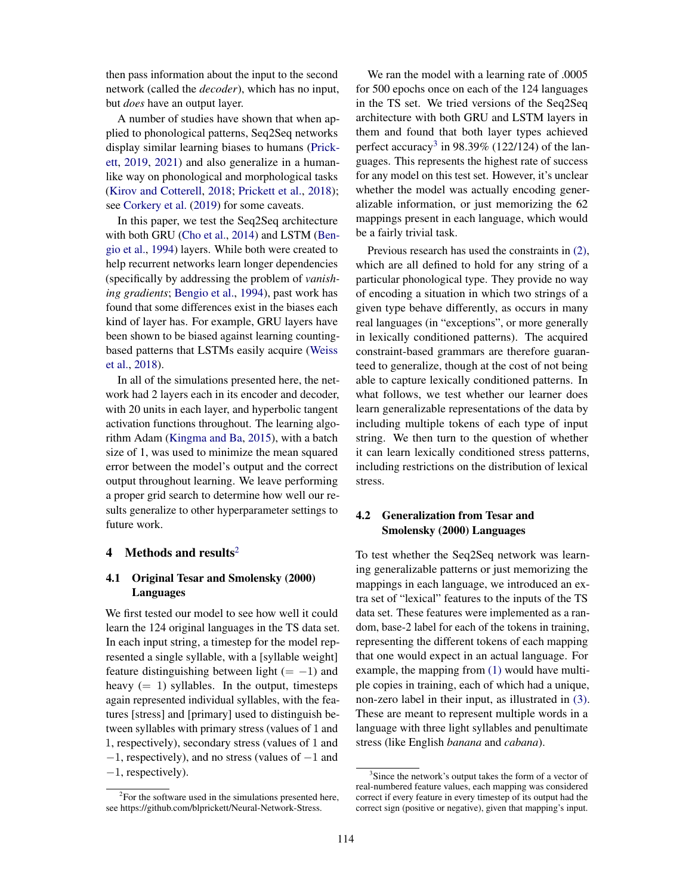then pass information about the input to the second network (called the *decoder*), which has no input, but *does* have an output layer.

A number of studies have shown that when applied to phonological patterns, Seq2Seq networks display similar learning biases to humans (Prickett, 2019, 2021) and also generalize in a humanlike way on phonological and morphological tasks (Kirov and Cotterell, 2018; Prickett et al., 2018); see Corkery et al. (2019) for some caveats.

In this paper, we test the Seq2Seq architecture with both GRU (Cho et al., 2014) and LSTM (Bengio et al., 1994) layers. While both were created to help recurrent networks learn longer dependencies (specifically by addressing the problem of *vanishing gradients*; Bengio et al., 1994), past work has found that some differences exist in the biases each kind of layer has. For example, GRU layers have been shown to be biased against learning countingbased patterns that LSTMs easily acquire (Weiss et al., 2018).

In all of the simulations presented here, the network had 2 layers each in its encoder and decoder, with 20 units in each layer, and hyperbolic tangent activation functions throughout. The learning algorithm Adam (Kingma and Ba, 2015), with a batch size of 1, was used to minimize the mean squared error between the model's output and the correct output throughout learning. We leave performing a proper grid search to determine how well our results generalize to other hyperparameter settings to future work.

## 4 Methods and results<sup>2</sup>

### 4.1 Original Tesar and Smolensky (2000) Languages

We first tested our model to see how well it could learn the 124 original languages in the TS data set. In each input string, a timestep for the model represented a single syllable, with a [syllable weight] feature distinguishing between light  $(=-1)$  and heavy  $(= 1)$  syllables. In the output, timesteps again represented individual syllables, with the features [stress] and [primary] used to distinguish between syllables with primary stress (values of 1 and 1, respectively), secondary stress (values of 1 and −1, respectively), and no stress (values of −1 and −1, respectively).

We ran the model with a learning rate of .0005 for 500 epochs once on each of the 124 languages in the TS set. We tried versions of the Seq2Seq architecture with both GRU and LSTM layers in them and found that both layer types achieved perfect accuracy<sup>3</sup> in 98.39% (122/124) of the languages. This represents the highest rate of success for any model on this test set. However, it's unclear whether the model was actually encoding generalizable information, or just memorizing the 62 mappings present in each language, which would be a fairly trivial task.

Previous research has used the constraints in (2), which are all defined to hold for any string of a particular phonological type. They provide no way of encoding a situation in which two strings of a given type behave differently, as occurs in many real languages (in "exceptions", or more generally in lexically conditioned patterns). The acquired constraint-based grammars are therefore guaranteed to generalize, though at the cost of not being able to capture lexically conditioned patterns. In what follows, we test whether our learner does learn generalizable representations of the data by including multiple tokens of each type of input string. We then turn to the question of whether it can learn lexically conditioned stress patterns, including restrictions on the distribution of lexical stress.

## 4.2 Generalization from Tesar and Smolensky (2000) Languages

To test whether the Seq2Seq network was learning generalizable patterns or just memorizing the mappings in each language, we introduced an extra set of "lexical" features to the inputs of the TS data set. These features were implemented as a random, base-2 label for each of the tokens in training, representing the different tokens of each mapping that one would expect in an actual language. For example, the mapping from (1) would have multiple copies in training, each of which had a unique, non-zero label in their input, as illustrated in (3). These are meant to represent multiple words in a language with three light syllables and penultimate stress (like English *banana* and *cabana*).

 $2^2$ For the software used in the simulations presented here, see https://github.com/blprickett/Neural-Network-Stress.

<sup>3</sup>Since the network's output takes the form of a vector of real-numbered feature values, each mapping was considered correct if every feature in every timestep of its output had the correct sign (positive or negative), given that mapping's input.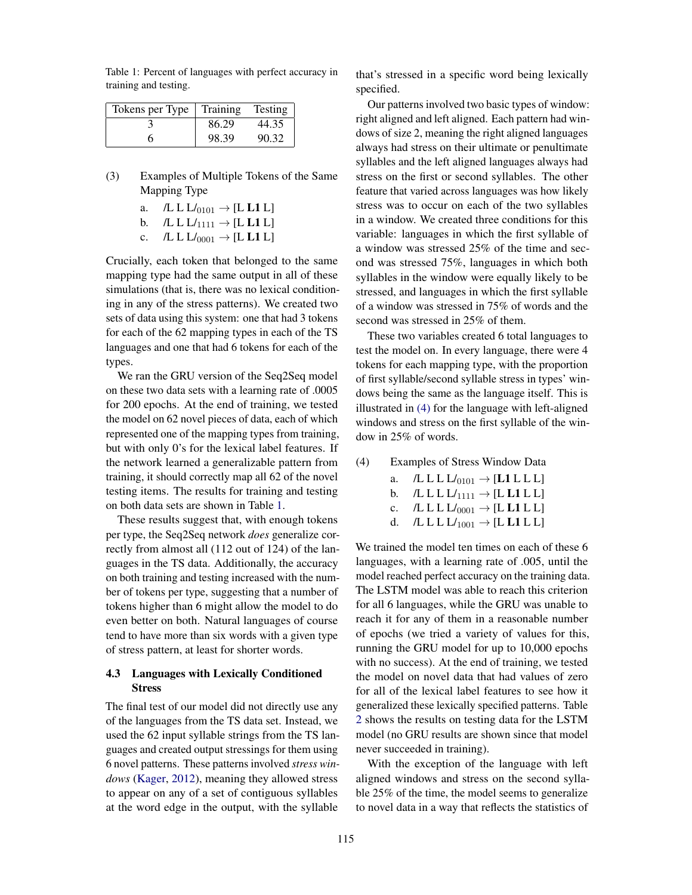Table 1: Percent of languages with perfect accuracy in training and testing.

| Tokens per Type | $\perp$ Training | Testing |
|-----------------|------------------|---------|
|                 | 86.29            | 44.35   |
|                 | 98.39            | 90.32   |

- (3) Examples of Multiple Tokens of the Same Mapping Type
	- a. /L L  $L/_{0101} \rightarrow$  [L L1 L]
	- b.  $/L L L_{1111} \rightarrow [L L1 L]$
	- c.  $/L L L_{0001} \rightarrow [L L1 L]$

Crucially, each token that belonged to the same mapping type had the same output in all of these simulations (that is, there was no lexical conditioning in any of the stress patterns). We created two sets of data using this system: one that had 3 tokens for each of the 62 mapping types in each of the TS languages and one that had 6 tokens for each of the types.

We ran the GRU version of the Seq2Seq model on these two data sets with a learning rate of .0005 for 200 epochs. At the end of training, we tested the model on 62 novel pieces of data, each of which represented one of the mapping types from training, but with only 0's for the lexical label features. If the network learned a generalizable pattern from training, it should correctly map all 62 of the novel testing items. The results for training and testing on both data sets are shown in Table 1.

These results suggest that, with enough tokens per type, the Seq2Seq network *does* generalize correctly from almost all (112 out of 124) of the languages in the TS data. Additionally, the accuracy on both training and testing increased with the number of tokens per type, suggesting that a number of tokens higher than 6 might allow the model to do even better on both. Natural languages of course tend to have more than six words with a given type of stress pattern, at least for shorter words.

### 4.3 Languages with Lexically Conditioned Stress

The final test of our model did not directly use any of the languages from the TS data set. Instead, we used the 62 input syllable strings from the TS languages and created output stressings for them using 6 novel patterns. These patterns involved *stress windows* (Kager, 2012), meaning they allowed stress to appear on any of a set of contiguous syllables at the word edge in the output, with the syllable

that's stressed in a specific word being lexically specified.

Our patterns involved two basic types of window: right aligned and left aligned. Each pattern had windows of size 2, meaning the right aligned languages always had stress on their ultimate or penultimate syllables and the left aligned languages always had stress on the first or second syllables. The other feature that varied across languages was how likely stress was to occur on each of the two syllables in a window. We created three conditions for this variable: languages in which the first syllable of a window was stressed 25% of the time and second was stressed 75%, languages in which both syllables in the window were equally likely to be stressed, and languages in which the first syllable of a window was stressed in 75% of words and the second was stressed in 25% of them.

These two variables created 6 total languages to test the model on. In every language, there were 4 tokens for each mapping type, with the proportion of first syllable/second syllable stress in types' windows being the same as the language itself. This is illustrated in (4) for the language with left-aligned windows and stress on the first syllable of the window in 25% of words.

#### (4) Examples of Stress Window Data

a.  $/L L L L_{0101} \rightarrow [L1 L L]$ <br>b.  $/L L L L_{1111} \rightarrow [L L1 L]$ 

b.  $/L L L L_{1111} \rightarrow [L L1 L]$ <br>c.  $/L L L L_{0001} \rightarrow [L L1 L]$ 

c.  $/L L L L_{0001} \rightarrow [L L1 L L]$ <br>d.  $/L L L L_{1001} \rightarrow [L L1 L]$  $\text{/L L L } L_{1001} \rightarrow \text{[L L1 L]}$ 

We trained the model ten times on each of these 6 languages, with a learning rate of .005, until the model reached perfect accuracy on the training data. The LSTM model was able to reach this criterion for all 6 languages, while the GRU was unable to reach it for any of them in a reasonable number of epochs (we tried a variety of values for this, running the GRU model for up to 10,000 epochs with no success). At the end of training, we tested the model on novel data that had values of zero for all of the lexical label features to see how it generalized these lexically specified patterns. Table 2 shows the results on testing data for the LSTM model (no GRU results are shown since that model never succeeded in training).

With the exception of the language with left aligned windows and stress on the second syllable 25% of the time, the model seems to generalize to novel data in a way that reflects the statistics of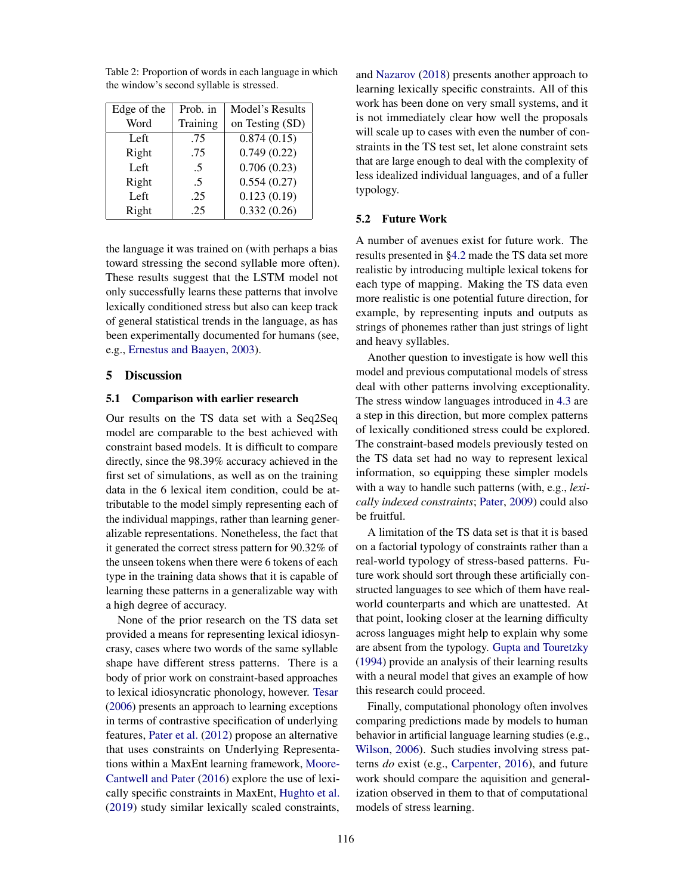| Edge of the | Prob. in | Model's Results |
|-------------|----------|-----------------|
| Word        | Training | on Testing (SD) |
| Left        | .75      | 0.874(0.15)     |
| Right       | .75      | 0.749(0.22)     |
| Left        | .5       | 0.706(0.23)     |
| Right       | .5       | 0.554(0.27)     |
| Left        | .25      | 0.123(0.19)     |
| Right       | .25      | 0.332(0.26)     |

Table 2: Proportion of words in each language in which the window's second syllable is stressed.

the language it was trained on (with perhaps a bias toward stressing the second syllable more often). These results suggest that the LSTM model not only successfully learns these patterns that involve lexically conditioned stress but also can keep track of general statistical trends in the language, as has been experimentally documented for humans (see, e.g., Ernestus and Baayen, 2003).

#### 5 Discussion

#### 5.1 Comparison with earlier research

Our results on the TS data set with a Seq2Seq model are comparable to the best achieved with constraint based models. It is difficult to compare directly, since the 98.39% accuracy achieved in the first set of simulations, as well as on the training data in the 6 lexical item condition, could be attributable to the model simply representing each of the individual mappings, rather than learning generalizable representations. Nonetheless, the fact that it generated the correct stress pattern for 90.32% of the unseen tokens when there were 6 tokens of each type in the training data shows that it is capable of learning these patterns in a generalizable way with a high degree of accuracy.

None of the prior research on the TS data set provided a means for representing lexical idiosyncrasy, cases where two words of the same syllable shape have different stress patterns. There is a body of prior work on constraint-based approaches to lexical idiosyncratic phonology, however. Tesar (2006) presents an approach to learning exceptions in terms of contrastive specification of underlying features, Pater et al. (2012) propose an alternative that uses constraints on Underlying Representations within a MaxEnt learning framework, Moore-Cantwell and Pater (2016) explore the use of lexically specific constraints in MaxEnt, Hughto et al. (2019) study similar lexically scaled constraints,

and Nazarov (2018) presents another approach to learning lexically specific constraints. All of this work has been done on very small systems, and it is not immediately clear how well the proposals will scale up to cases with even the number of constraints in the TS test set, let alone constraint sets that are large enough to deal with the complexity of less idealized individual languages, and of a fuller typology.

#### 5.2 Future Work

A number of avenues exist for future work. The results presented in §4.2 made the TS data set more realistic by introducing multiple lexical tokens for each type of mapping. Making the TS data even more realistic is one potential future direction, for example, by representing inputs and outputs as strings of phonemes rather than just strings of light and heavy syllables.

Another question to investigate is how well this model and previous computational models of stress deal with other patterns involving exceptionality. The stress window languages introduced in 4.3 are a step in this direction, but more complex patterns of lexically conditioned stress could be explored. The constraint-based models previously tested on the TS data set had no way to represent lexical information, so equipping these simpler models with a way to handle such patterns (with, e.g., *lexically indexed constraints*; Pater, 2009) could also be fruitful.

A limitation of the TS data set is that it is based on a factorial typology of constraints rather than a real-world typology of stress-based patterns. Future work should sort through these artificially constructed languages to see which of them have realworld counterparts and which are unattested. At that point, looking closer at the learning difficulty across languages might help to explain why some are absent from the typology. Gupta and Touretzky (1994) provide an analysis of their learning results with a neural model that gives an example of how this research could proceed.

Finally, computational phonology often involves comparing predictions made by models to human behavior in artificial language learning studies (e.g., Wilson, 2006). Such studies involving stress patterns *do* exist (e.g., Carpenter, 2016), and future work should compare the aquisition and generalization observed in them to that of computational models of stress learning.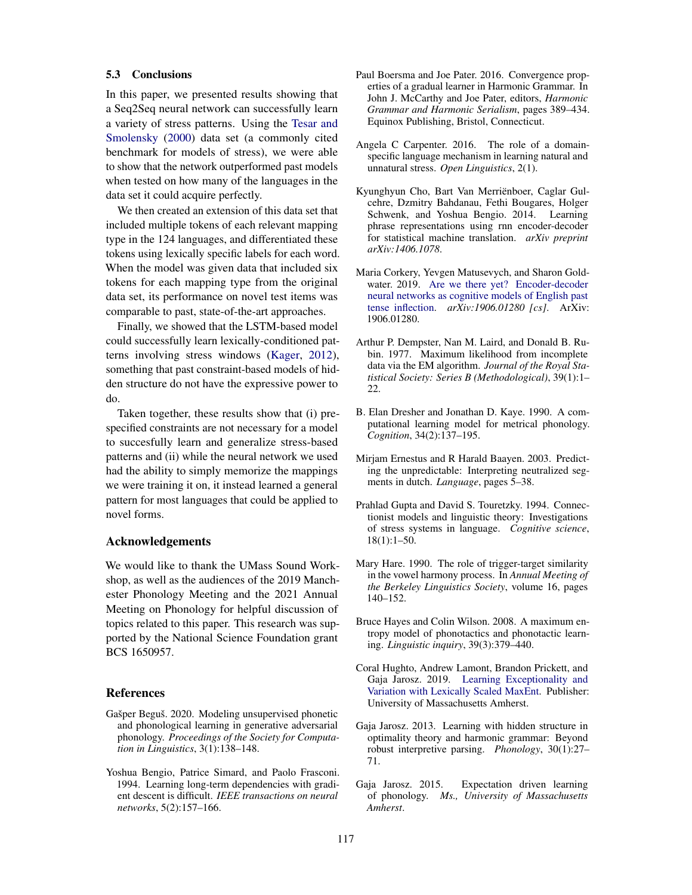#### 5.3 Conclusions

In this paper, we presented results showing that a Seq2Seq neural network can successfully learn a variety of stress patterns. Using the Tesar and Smolensky (2000) data set (a commonly cited benchmark for models of stress), we were able to show that the network outperformed past models when tested on how many of the languages in the data set it could acquire perfectly.

We then created an extension of this data set that included multiple tokens of each relevant mapping type in the 124 languages, and differentiated these tokens using lexically specific labels for each word. When the model was given data that included six tokens for each mapping type from the original data set, its performance on novel test items was comparable to past, state-of-the-art approaches.

Finally, we showed that the LSTM-based model could successfully learn lexically-conditioned patterns involving stress windows (Kager, 2012), something that past constraint-based models of hidden structure do not have the expressive power to do.

Taken together, these results show that (i) prespecified constraints are not necessary for a model to succesfully learn and generalize stress-based patterns and (ii) while the neural network we used had the ability to simply memorize the mappings we were training it on, it instead learned a general pattern for most languages that could be applied to novel forms.

### Acknowledgements

We would like to thank the UMass Sound Workshop, as well as the audiences of the 2019 Manchester Phonology Meeting and the 2021 Annual Meeting on Phonology for helpful discussion of topics related to this paper. This research was supported by the National Science Foundation grant BCS 1650957.

### **References**

- Gašper Beguš. 2020. Modeling unsupervised phonetic and phonological learning in generative adversarial phonology. *Proceedings of the Society for Computation in Linguistics*, 3(1):138–148.
- Yoshua Bengio, Patrice Simard, and Paolo Frasconi. 1994. Learning long-term dependencies with gradient descent is difficult. *IEEE transactions on neural networks*, 5(2):157–166.
- Paul Boersma and Joe Pater. 2016. Convergence properties of a gradual learner in Harmonic Grammar. In John J. McCarthy and Joe Pater, editors, *Harmonic Grammar and Harmonic Serialism*, pages 389–434. Equinox Publishing, Bristol, Connecticut.
- Angela C Carpenter. 2016. The role of a domainspecific language mechanism in learning natural and unnatural stress. *Open Linguistics*, 2(1).
- Kyunghyun Cho, Bart Van Merrienboer, Caglar Gul- ¨ cehre, Dzmitry Bahdanau, Fethi Bougares, Holger Schwenk, and Yoshua Bengio. 2014. Learning phrase representations using rnn encoder-decoder for statistical machine translation. *arXiv preprint arXiv:1406.1078*.
- Maria Corkery, Yevgen Matusevych, and Sharon Goldwater. 2019. Are we there yet? Encoder-decoder neural networks as cognitive models of English past tense inflection. *arXiv:1906.01280 [cs]*. ArXiv: 1906.01280.
- Arthur P. Dempster, Nan M. Laird, and Donald B. Rubin. 1977. Maximum likelihood from incomplete data via the EM algorithm. *Journal of the Royal Statistical Society: Series B (Methodological)*, 39(1):1– 22.
- B. Elan Dresher and Jonathan D. Kaye. 1990. A computational learning model for metrical phonology. *Cognition*, 34(2):137–195.
- Mirjam Ernestus and R Harald Baayen. 2003. Predicting the unpredictable: Interpreting neutralized segments in dutch. *Language*, pages 5–38.
- Prahlad Gupta and David S. Touretzky. 1994. Connectionist models and linguistic theory: Investigations of stress systems in language. *Cognitive science*, 18(1):1–50.
- Mary Hare. 1990. The role of trigger-target similarity in the vowel harmony process. In *Annual Meeting of the Berkeley Linguistics Society*, volume 16, pages 140–152.
- Bruce Hayes and Colin Wilson. 2008. A maximum entropy model of phonotactics and phonotactic learning. *Linguistic inquiry*, 39(3):379–440.
- Coral Hughto, Andrew Lamont, Brandon Prickett, and Gaja Jarosz. 2019. Learning Exceptionality and Variation with Lexically Scaled MaxEnt. Publisher: University of Massachusetts Amherst.
- Gaja Jarosz. 2013. Learning with hidden structure in optimality theory and harmonic grammar: Beyond robust interpretive parsing. *Phonology*, 30(1):27– 71.
- Gaja Jarosz. 2015. Expectation driven learning of phonology. *Ms., University of Massachusetts Amherst*.